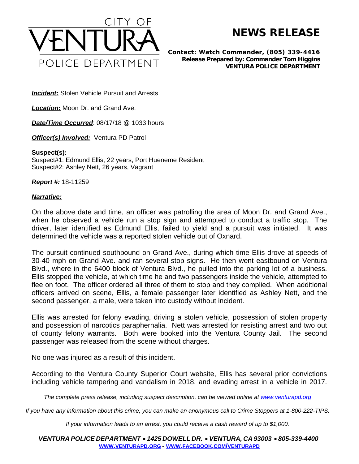

**NEWS RELEASE**

*Contact: Watch Commander, (805) 339-4416 Release Prepared by: Commander Tom Higgins* **VENTURA POLICE DEPARTMENT**

**Incident:** Stolen Vehicle Pursuit and Arrests

*Location***:** Moon Dr. and Grand Ave.

**Date/Time Occurred: 08/17/18 @ 1033 hours** 

*Officer(s) Involved:* Ventura PD Patrol

## **Suspect(s):**

Suspect#1: Edmund Ellis, 22 years, Port Hueneme Resident Suspect#2: Ashley Nett, 26 years, Vagrant

*Report #:* 18-11259

## *Narrative:*

On the above date and time, an officer was patrolling the area of Moon Dr. and Grand Ave., when he observed a vehicle run a stop sign and attempted to conduct a traffic stop. The driver, later identified as Edmund Ellis, failed to yield and a pursuit was initiated. It was determined the vehicle was a reported stolen vehicle out of Oxnard.

The pursuit continued southbound on Grand Ave., during which time Ellis drove at speeds of 30-40 mph on Grand Ave. and ran several stop signs. He then went eastbound on Ventura Blvd., where in the 6400 block of Ventura Blvd., he pulled into the parking lot of a business. Ellis stopped the vehicle, at which time he and two passengers inside the vehicle, attempted to flee on foot. The officer ordered all three of them to stop and they complied. When additional officers arrived on scene, Ellis, a female passenger later identified as Ashley Nett, and the second passenger, a male, were taken into custody without incident.

Ellis was arrested for felony evading, driving a stolen vehicle, possession of stolen property and possession of narcotics paraphernalia. Nett was arrested for resisting arrest and two out of county felony warrants. Both were booked into the Ventura County Jail. The second passenger was released from the scene without charges.

No one was injured as a result of this incident.

According to the Ventura County Superior Court website, Ellis has several prior convictions including vehicle tampering and vandalism in 2018, and evading arrest in a vehicle in 2017.

*The complete press release, including suspect description, can be viewed online at [www.venturapd.org](http://www.venturapd.org)* 

*If you have any information about this crime, you can make an anonymous call to Crime Stoppers at 1-800-222-TIPS.*

*If your information leads to an arrest, you could receive a cash reward of up to \$1,000.*

*VENTURA POLICE DEPARTMENT* · *1425 DOWELL DR.* · *VENTURA, CA 93003* · *805-339-4400* **WWW.[VENTURAPD](http://www.venturapd.org).ORG** *-* **WWW.FACEBOOK.COM/[VENTURAPD](http://www.facebook.com/venturapd)**